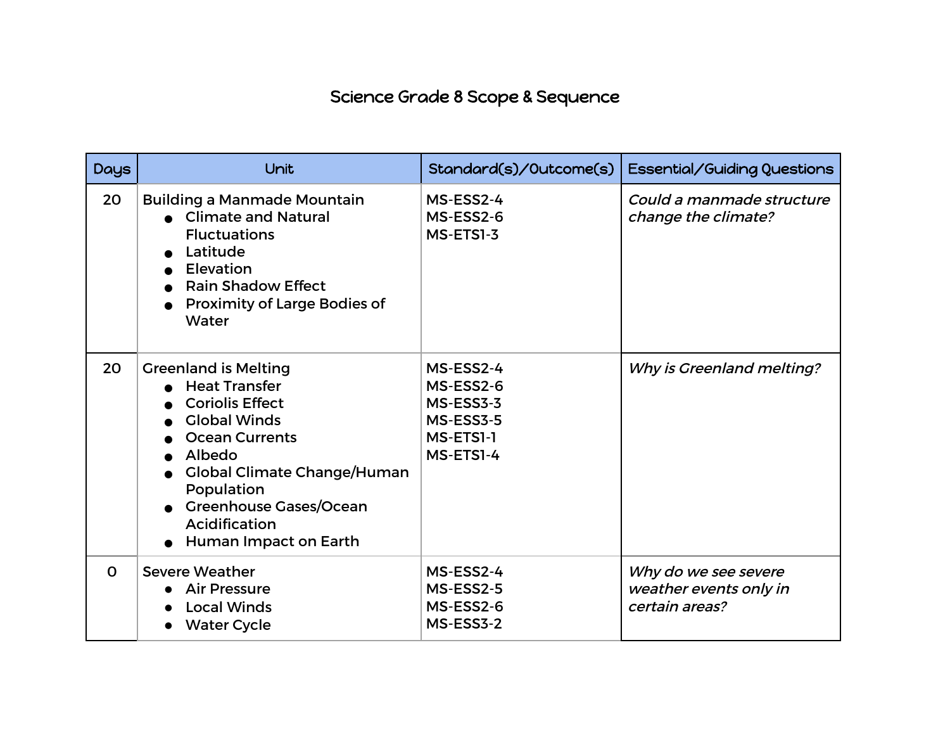## Science Grade 8 Scope & Sequence

| <b>Days</b> | Unit                                                                                                                                                                                                                                                                   | Standard(s)/Outcome(s)                                                     | Essential/Guiding Questions                                      |
|-------------|------------------------------------------------------------------------------------------------------------------------------------------------------------------------------------------------------------------------------------------------------------------------|----------------------------------------------------------------------------|------------------------------------------------------------------|
| 20          | <b>Building a Manmade Mountain</b><br>• Climate and Natural<br><b>Fluctuations</b><br>Latitude<br>Elevation<br><b>Rain Shadow Effect</b><br><b>Proximity of Large Bodies of</b><br>Water                                                                               | MS-ESS2-4<br>MS-ESS2-6<br>MS-ETS1-3                                        | Could a manmade structure<br>change the climate?                 |
| 20          | <b>Greenland is Melting</b><br><b>Heat Transfer</b><br><b>Coriolis Effect</b><br><b>Global Winds</b><br><b>Ocean Currents</b><br>Albedo<br><b>Global Climate Change/Human</b><br>Population<br><b>Greenhouse Gases/Ocean</b><br>Acidification<br>Human Impact on Earth | MS-ESS2-4<br>MS-ESS2-6<br>MS-ESS3-3<br>MS-ESS3-5<br>MS-ETSI-1<br>MS-ETS1-4 | Why is Greenland melting?                                        |
| $\Omega$    | <b>Severe Weather</b><br><b>Air Pressure</b><br><b>Local Winds</b><br><b>Water Cycle</b>                                                                                                                                                                               | MS-ESS2-4<br>MS-ESS2-5<br>MS-ESS2-6<br>MS-ESS3-2                           | Why do we see severe<br>weather events only in<br>certain areas? |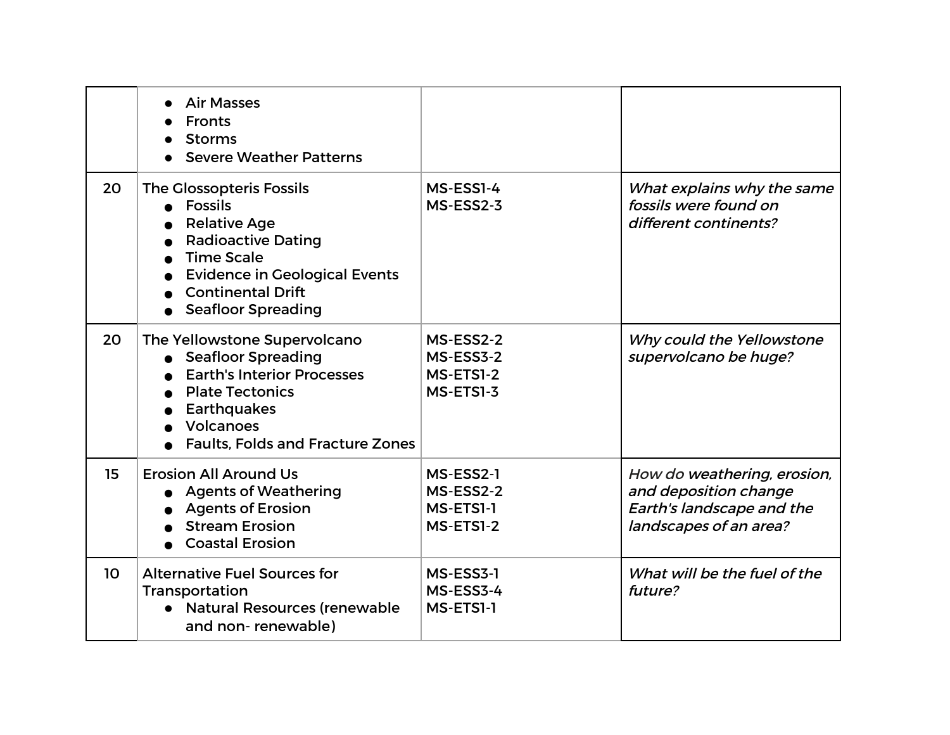|    | <b>Air Masses</b><br><b>Fronts</b><br><b>Storms</b><br><b>Severe Weather Patterns</b>                                                                                                                                       |                                                  |                                                                                                             |
|----|-----------------------------------------------------------------------------------------------------------------------------------------------------------------------------------------------------------------------------|--------------------------------------------------|-------------------------------------------------------------------------------------------------------------|
| 20 | <b>The Glossopteris Fossils</b><br><b>Fossils</b><br><b>Relative Age</b><br><b>Radioactive Dating</b><br><b>Time Scale</b><br><b>Evidence in Geological Events</b><br><b>Continental Drift</b><br><b>Seafloor Spreading</b> | MS-ESS1-4<br>MS-ESS2-3                           | What explains why the same<br>fossils were found on<br>different continents?                                |
| 20 | The Yellowstone Supervolcano<br>• Seafloor Spreading<br><b>Earth's Interior Processes</b><br><b>Plate Tectonics</b><br><b>Earthquakes</b><br>Volcanoes<br><b>Faults, Folds and Fracture Zones</b>                           | MS-ESS2-2<br>MS-ESS3-2<br>MS-ETS1-2<br>MS-ETS1-3 | Why could the Yellowstone<br>supervolcano be huge?                                                          |
| 15 | <b>Erosion All Around Us</b><br><b>Agents of Weathering</b><br><b>Agents of Erosion</b><br><b>Stream Erosion</b><br><b>Coastal Erosion</b>                                                                                  | MS-ESS2-1<br>MS-ESS2-2<br>MS-ETS1-1<br>MS-ETS1-2 | How do weathering, erosion,<br>and deposition change<br>Earth's landscape and the<br>landscapes of an area? |
| 10 | <b>Alternative Fuel Sources for</b><br>Transportation<br>• Natural Resources (renewable<br>and non-renewable)                                                                                                               | MS-ESS3-1<br>MS-ESS3-4<br>MS-ETSI-1              | What will be the fuel of the<br>future?                                                                     |